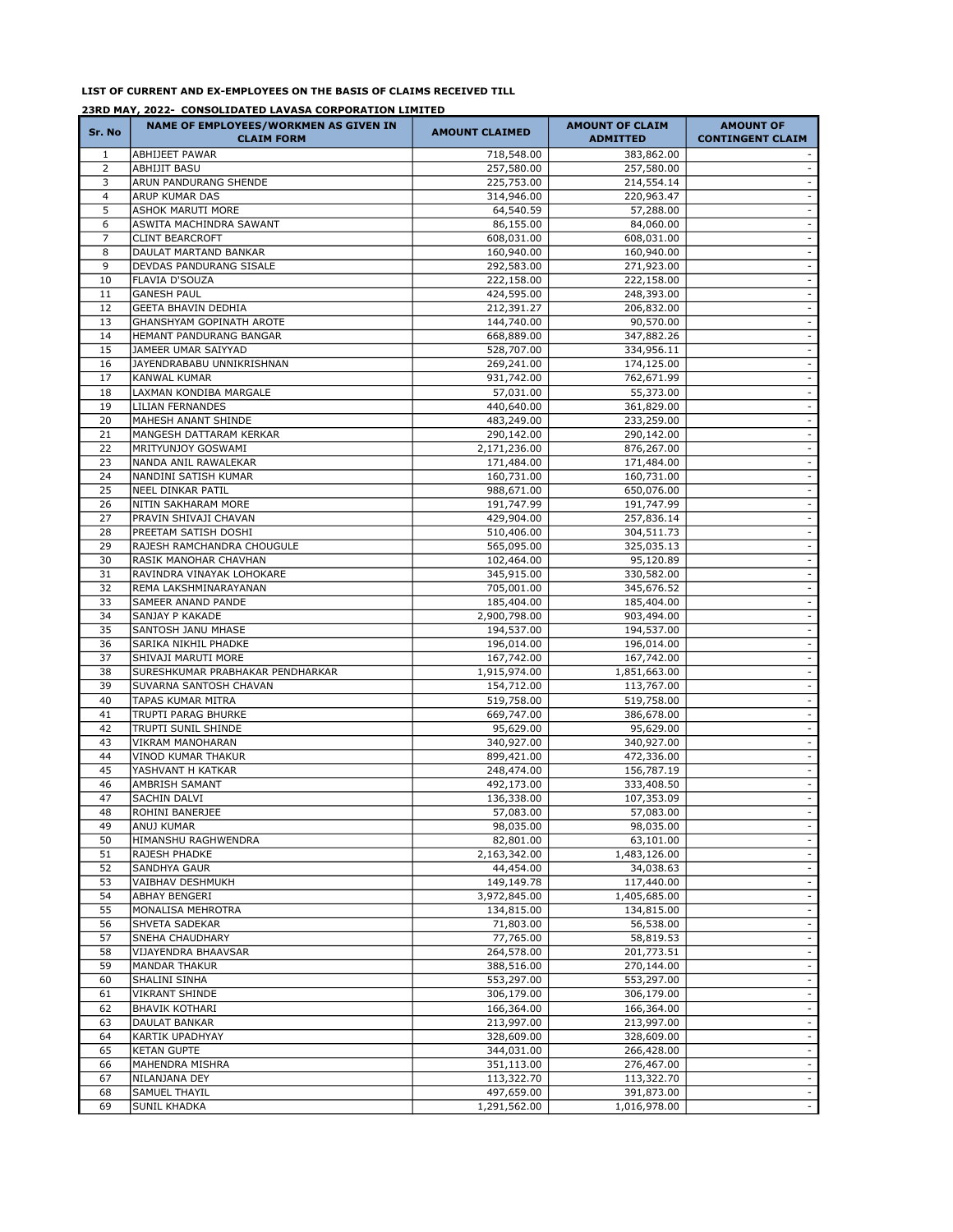## LIST OF CURRENT AND EX-EMPLOYEES ON THE BASIS OF CLAIMS RECEIVED TILL

## 23RD MAY, 2022- CONSOLIDATED LAVASA CORPORATION LIMITED

| Sr. No         | NAME OF EMPLOYEES/WORKMEN AS GIVEN IN<br><b>CLAIM FORM</b> | <b>AMOUNT CLAIMED</b>      | <b>AMOUNT OF CLAIM</b><br><b>ADMITTED</b> | <b>AMOUNT OF</b><br><b>CONTINGENT CLAIM</b> |
|----------------|------------------------------------------------------------|----------------------------|-------------------------------------------|---------------------------------------------|
| 1              | <b>ABHIJEET PAWAR</b>                                      | 718,548.00                 | 383,862.00                                |                                             |
| $\overline{2}$ | <b>ABHIJIT BASU</b>                                        | 257,580.00                 | 257,580.00                                |                                             |
| 3              | <b>ARUN PANDURANG SHENDE</b>                               | 225,753.00                 | 214,554.14                                | $\blacksquare$                              |
| $\overline{4}$ | <b>ARUP KUMAR DAS</b>                                      | 314,946.00                 | 220,963.47                                | $\sim$                                      |
| 5<br>6         | <b>ASHOK MARUTI MORE</b><br><b>ASWITA MACHINDRA SAWANT</b> | 64,540.59<br>86,155.00     | 57,288.00<br>84,060.00                    | $\blacksquare$<br>$\blacksquare$            |
| 7              | <b>CLINT BEARCROFT</b>                                     | 608,031.00                 | 608,031.00                                | $\sim$                                      |
| 8              | DAULAT MARTAND BANKAR                                      | 160,940.00                 | 160,940.00                                | $\blacksquare$                              |
| 9              | <b>DEVDAS PANDURANG SISALE</b>                             | 292,583.00                 | 271,923.00                                | $\blacksquare$                              |
| 10             | <b>FLAVIA D'SOUZA</b>                                      | 222,158.00                 | 222,158.00                                | $\blacksquare$                              |
| 11             | <b>GANESH PAUL</b>                                         | 424,595.00                 | 248,393.00                                | $\sim$                                      |
| 12             | <b>GEETA BHAVIN DEDHIA</b>                                 | 212,391.27                 | 206,832.00                                | $\sim$                                      |
| 13             | GHANSHYAM GOPINATH AROTE                                   | 144,740.00                 | 90,570.00                                 | $\blacksquare$                              |
| 14<br>15       | HEMANT PANDURANG BANGAR<br>JAMEER UMAR SAIYYAD             | 668,889.00<br>528,707.00   | 347,882.26<br>334,956.11                  | $\blacksquare$<br>$\blacksquare$            |
| 16             | JAYENDRABABU UNNIKRISHNAN                                  | 269,241.00                 | 174,125.00                                | $\sim$                                      |
| 17             | <b>KANWAL KUMAR</b>                                        | 931,742.00                 | 762,671.99                                | $\blacksquare$                              |
| 18             | LAXMAN KONDIBA MARGALE                                     | 57,031.00                  | 55,373.00                                 | $\blacksquare$                              |
| 19             | <b>LILIAN FERNANDES</b>                                    | 440,640.00                 | 361,829.00                                | $\blacksquare$                              |
| 20             | MAHESH ANANT SHINDE                                        | 483,249.00                 | 233,259.00                                | $\sim$                                      |
| 21             | MANGESH DATTARAM KERKAR                                    | 290,142.00                 | 290,142.00                                | $\blacksquare$                              |
| 22             | MRITYUNJOY GOSWAMI                                         | 2,171,236.00               | 876,267.00                                | $\blacksquare$                              |
| 23             | NANDA ANIL RAWALEKAR<br>NANDINI SATISH KUMAR               | 171,484.00                 | 171,484.00                                | $\blacksquare$<br>$\sim$                    |
| 24<br>25       | <b>NEEL DINKAR PATIL</b>                                   | 160,731.00<br>988,671.00   | 160,731.00<br>650,076.00                  | $\blacksquare$                              |
| 26             | NITIN SAKHARAM MORE                                        | 191,747.99                 | 191,747.99                                | $\blacksquare$                              |
| 27             | PRAVIN SHIVAJI CHAVAN                                      | 429,904.00                 | 257,836.14                                | $\sim$                                      |
| 28             | PREETAM SATISH DOSHI                                       | 510,406.00                 | 304,511.73                                | $\sim$                                      |
| 29             | RAJESH RAMCHANDRA CHOUGULE                                 | 565,095.00                 | 325,035.13                                | $\overline{\phantom{a}}$                    |
| 30             | RASIK MANOHAR CHAVHAN                                      | 102,464.00                 | 95,120.89                                 | $\blacksquare$                              |
| 31             | RAVINDRA VINAYAK LOHOKARE                                  | 345,915.00                 | 330,582.00                                | $\sim$                                      |
| 32             | REMA LAKSHMINARAYANAN                                      | 705,001.00                 | 345,676.52                                | $\omega$                                    |
| 33<br>34       | <b>SAMEER ANAND PANDE</b><br><b>SANJAY P KAKADE</b>        | 185,404.00<br>2,900,798.00 | 185,404.00<br>903,494.00                  | $\overline{\phantom{a}}$<br>$\omega$        |
| 35             | <b>SANTOSH JANU MHASE</b>                                  | 194,537.00                 | 194,537.00                                | $\sim$                                      |
| 36             | SARIKA NIKHIL PHADKE                                       | 196,014.00                 | 196,014.00                                | $\omega$                                    |
| 37             | SHIVAJI MARUTI MORE                                        | 167,742.00                 | 167,742.00                                | $\overline{\phantom{a}}$                    |
| 38             | SURESHKUMAR PRABHAKAR PENDHARKAR                           | 1,915,974.00               | 1,851,663.00                              | $\omega$                                    |
| 39             | SUVARNA SANTOSH CHAVAN                                     | 154,712.00                 | 113,767.00                                | $\blacksquare$                              |
| 40             | <b>TAPAS KUMAR MITRA</b>                                   | 519,758.00                 | 519,758.00                                | $\omega$                                    |
| 41             | <b>TRUPTI PARAG BHURKE</b>                                 | 669,747.00                 | 386,678.00                                | $\overline{\phantom{a}}$                    |
| 42<br>43       | <b>TRUPTI SUNIL SHINDE</b><br><b>VIKRAM MANOHARAN</b>      | 95,629.00<br>340,927.00    | 95,629.00<br>340,927.00                   | $\omega$<br>$\blacksquare$                  |
| 44             | VINOD KUMAR THAKUR                                         | 899,421.00                 | 472,336.00                                | $\omega$                                    |
| 45             | YASHVANT H KATKAR                                          | 248,474.00                 | 156,787.19                                | $\overline{\phantom{a}}$                    |
| 46             | AMBRISH SAMANT                                             | 492,173.00                 | 333,408.50                                |                                             |
| 47             | <b>SACHIN DALVI</b>                                        | 136,338.00                 | 107,353.09                                | $\omega$                                    |
| 48             | <b>ROHINI BANERJEE</b>                                     | 57,083.00                  | 57,083.00                                 |                                             |
| 49             | ANUJ KUMAR                                                 | 98,035.00                  | 98,035.00                                 | $\overline{\phantom{a}}$                    |
| 50             | HIMANSHU RAGHWENDRA                                        | 82,801.00                  | 63,101.00                                 | $\blacksquare$                              |
| 51<br>52       | <b>RAJESH PHADKE</b><br><b>SANDHYA GAUR</b>                | 2,163,342.00<br>44,454.00  | 1,483,126.00<br>34,038.63                 | $\sim$<br>$\overline{\phantom{a}}$          |
| 53             | VAIBHAV DESHMUKH                                           | 149,149.78                 | 117,440.00                                | $\overline{\phantom{a}}$                    |
| 54             | <b>ABHAY BENGERI</b>                                       | 3,972,845.00               | 1,405,685.00                              | $\overline{\phantom{a}}$                    |
| 55             | MONALISA MEHROTRA                                          | 134,815.00                 | 134,815.00                                | $\overline{\phantom{a}}$                    |
| 56             | <b>SHVETA SADEKAR</b>                                      | 71,803.00                  | 56,538.00                                 | $\overline{\phantom{a}}$                    |
| 57             | <b>SNEHA CHAUDHARY</b>                                     | 77,765.00                  | 58,819.53                                 | $\overline{\phantom{a}}$                    |
| 58             | VIJAYENDRA BHAAVSAR                                        | 264,578.00                 | 201,773.51                                | $\overline{\phantom{a}}$                    |
| 59             | <b>MANDAR THAKUR</b>                                       | 388,516.00                 | 270,144.00                                | $\overline{\phantom{a}}$                    |
| 60             | SHALINI SINHA                                              | 553,297.00                 | 553,297.00                                | $\overline{\phantom{a}}$                    |
| 61<br>62       | <b>VIKRANT SHINDE</b><br><b>BHAVIK KOTHARI</b>             | 306,179.00<br>166,364.00   | 306,179.00<br>166,364.00                  | $\overline{\phantom{a}}$<br>$\blacksquare$  |
| 63             | <b>DAULAT BANKAR</b>                                       | 213,997.00                 | 213,997.00                                | $\overline{\phantom{a}}$                    |
| 64             | <b>KARTIK UPADHYAY</b>                                     | 328,609.00                 | 328,609.00                                | $\overline{\phantom{a}}$                    |
| 65             | <b>KETAN GUPTE</b>                                         | 344,031.00                 | 266,428.00                                | $\overline{\phantom{a}}$                    |
| 66             | MAHENDRA MISHRA                                            | 351,113.00                 | 276,467.00                                | $\overline{\phantom{a}}$                    |
| 67             | NILANJANA DEY                                              | 113,322.70                 | 113,322.70                                | $\sim$                                      |
| 68             | <b>SAMUEL THAYIL</b>                                       | 497,659.00                 | 391,873.00                                | $\blacksquare$                              |
| 69             | <b>SUNIL KHADKA</b>                                        | 1,291,562.00               | 1,016,978.00                              | $\sim$                                      |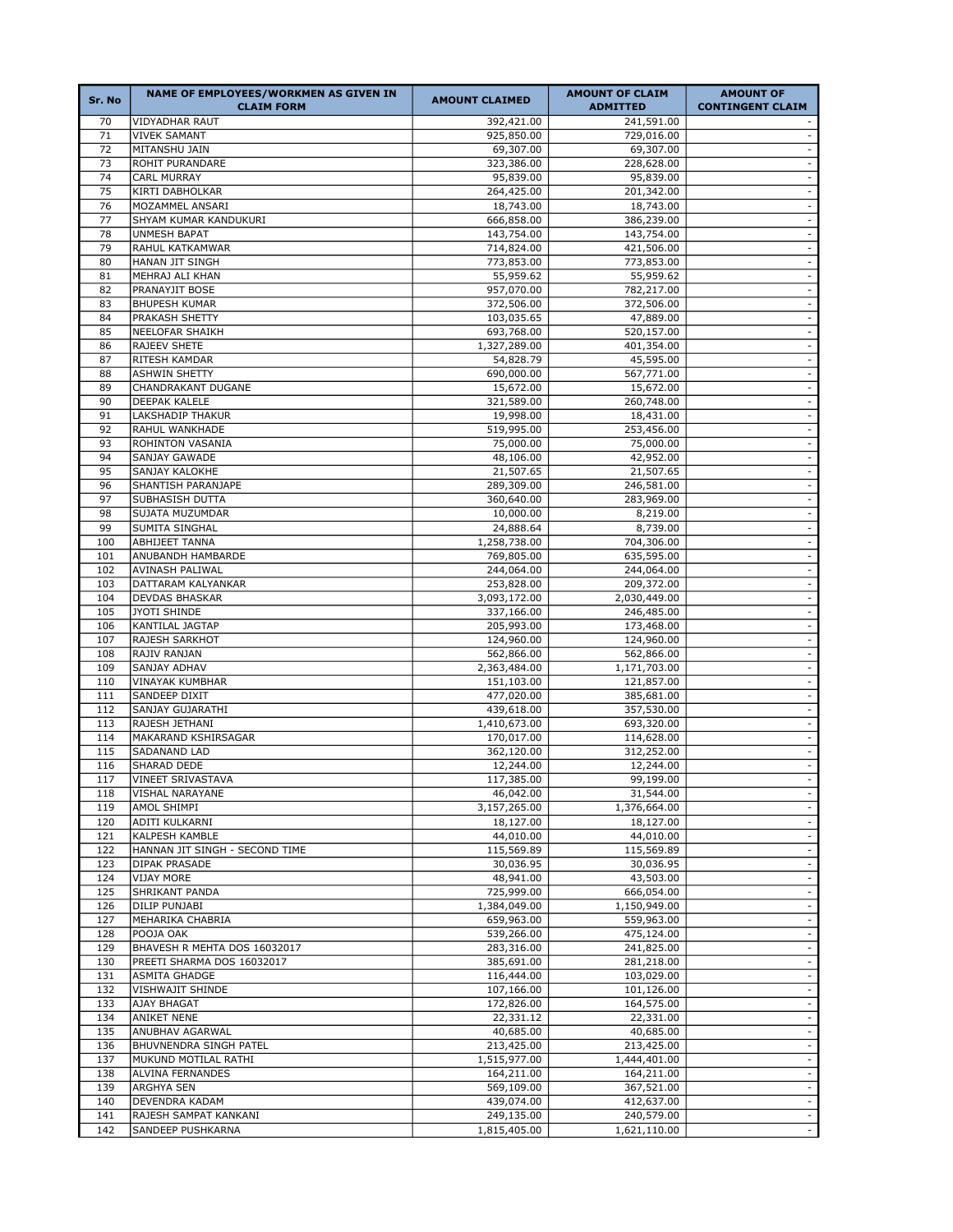| Sr. No     | NAME OF EMPLOYEES/WORKMEN AS GIVEN IN<br><b>CLAIM FORM</b> | <b>AMOUNT CLAIMED</b>      | <b>AMOUNT OF CLAIM</b><br><b>ADMITTED</b> | <b>AMOUNT OF</b><br><b>CONTINGENT CLAIM</b> |
|------------|------------------------------------------------------------|----------------------------|-------------------------------------------|---------------------------------------------|
| 70         | <b>VIDYADHAR RAUT</b>                                      | 392,421.00                 | 241,591.00                                |                                             |
| 71         | <b>VIVEK SAMANT</b>                                        | 925,850.00                 | 729,016.00                                | $\sim$                                      |
| 72         | MITANSHU JAIN                                              | 69,307.00                  | 69,307.00                                 | $\sim$                                      |
| 73         | ROHIT PURANDARE                                            | 323,386.00                 | 228,628.00                                | $\blacksquare$                              |
| 74         | CARL MURRAY                                                | 95,839.00                  | 95,839.00                                 | $\sim$                                      |
| 75         | KIRTI DABHOLKAR                                            | 264,425.00                 | 201,342.00                                | $\sim$                                      |
| 76         | MOZAMMEL ANSARI                                            | 18,743.00                  | 18,743.00                                 | $\omega$                                    |
| 77         | SHYAM KUMAR KANDUKURI                                      | 666,858.00                 | 386,239.00                                | $\sim$                                      |
| 78         | <b>UNMESH BAPAT</b>                                        | 143,754.00                 | 143,754.00                                | $\omega$                                    |
| 79         | RAHUL KATKAMWAR                                            | 714,824.00                 | 421,506.00                                | $\sim$                                      |
| 80         | HANAN JIT SINGH                                            | 773,853.00                 | 773,853.00                                | $\sim$                                      |
| 81         | MEHRAJ ALI KHAN                                            | 55,959.62                  | 55,959.62                                 | $\sim$<br>$\blacksquare$                    |
| 82         | PRANAYJIT BOSE<br><b>BHUPESH KUMAR</b>                     | 957,070.00                 | 782,217.00                                |                                             |
| 83<br>84   | PRAKASH SHETTY                                             | 372,506.00<br>103,035.65   | 372,506.00<br>47,889.00                   | $\sim$<br>$\omega$                          |
| 85         | NEELOFAR SHAIKH                                            | 693,768.00                 | 520,157.00                                | $\omega$                                    |
| 86         | RAJEEV SHETE                                               | 1,327,289.00               | 401,354.00                                | $\sim$                                      |
| 87         | RITESH KAMDAR                                              | 54,828.79                  | 45,595.00                                 | $\sim$                                      |
| 88         | <b>ASHWIN SHETTY</b>                                       | 690,000.00                 | 567,771.00                                | $\omega$                                    |
| 89         | CHANDRAKANT DUGANE                                         | 15,672.00                  | 15,672.00                                 | $\sim$                                      |
| 90         | <b>DEEPAK KALELE</b>                                       | 321,589.00                 | 260,748.00                                | $\omega$                                    |
| 91         | LAKSHADIP THAKUR                                           | 19,998.00                  | 18,431.00                                 | $\sim$                                      |
| 92         | RAHUL WANKHADE                                             | 519,995.00                 | 253,456.00                                | $\sim$                                      |
| 93         | ROHINTON VASANIA                                           | 75,000.00                  | 75,000.00                                 | $\sim$                                      |
| 94         | SANJAY GAWADE                                              | 48,106.00                  | 42,952.00                                 | $\omega$                                    |
| 95         | SANJAY KALOKHE                                             | 21,507.65                  | 21,507.65                                 | $\sim$                                      |
| 96         | SHANTISH PARANJAPE                                         | 289,309.00                 | 246,581.00                                | $\omega$                                    |
| 97         | SUBHASISH DUTTA                                            | 360,640.00                 | 283,969.00                                | $\sim$                                      |
| 98         | SUJATA MUZUMDAR                                            | 10,000.00                  | 8,219.00                                  | $\sim$                                      |
| 99         | SUMITA SINGHAL                                             | 24,888.64                  | 8,739.00                                  | $\sim$                                      |
| 100        | ABHIJEET TANNA                                             | 1,258,738.00               | 704,306.00                                | $\sim$                                      |
| 101        | ANUBANDH HAMBARDE                                          | 769,805.00                 | 635,595.00                                | $\sim$                                      |
| 102        | AVINASH PALIWAL                                            | 244,064.00                 | 244,064.00                                | $\omega$                                    |
| 103        | DATTARAM KALYANKAR                                         | 253,828.00                 | 209,372.00                                | $\sim$                                      |
| 104        | <b>DEVDAS BHASKAR</b>                                      | 3,093,172.00               | 2,030,449.00                              | $\sim$                                      |
| 105        | <b>JYOTI SHINDE</b>                                        | 337,166.00                 | 246,485.00                                | $\sim$                                      |
| 106        | KANTILAL JAGTAP                                            | 205,993.00                 | 173,468.00                                | $\sim$                                      |
| 107        | RAJESH SARKHOT                                             | 124,960.00                 | 124,960.00                                | $\sim$                                      |
| 108        | RAJIV RANJAN                                               | 562,866.00                 | 562,866.00                                | $\omega$                                    |
| 109        | SANJAY ADHAV                                               | 2,363,484.00               | 1,171,703.00                              | $\sim$                                      |
| 110        | VINAYAK KUMBHAR                                            | 151,103.00                 | 121,857.00                                | $\omega$                                    |
| 111        | SANDEEP DIXIT<br>SANJAY GUJARATHI                          | 477,020.00                 | 385,681.00                                | $\sim$                                      |
| 112<br>113 | RAJESH JETHANI                                             | 439,618.00<br>1,410,673.00 | 357,530.00<br>693,320.00                  | $\sim$<br>$\sim$                            |
| 114        | MAKARAND KSHIRSAGAR                                        | 170,017.00                 | 114,628.00                                | $\omega$                                    |
| 115        | SADANAND LAD                                               | 362,120.00                 | 312,252.00                                | $\sim$                                      |
| 116        | SHARAD DEDE                                                | 12,244.00                  | 12,244.00                                 | $\omega$                                    |
| 117        | <b>VINEET SRIVASTAVA</b>                                   | 117,385.00                 | 99,199.00                                 | $\sim$                                      |
| 118        | <b>VISHAL NARAYANE</b>                                     | 46,042.00                  | 31,544.00                                 | $\sim$                                      |
| 119        | AMOL SHIMPI                                                | 3,157,265.00               | 1,376,664.00                              | $\blacksquare$                              |
| 120        | ADITI KULKARNI                                             | 18,127.00                  | 18,127.00                                 | $\sim$                                      |
| 121        | KALPESH KAMBLE                                             | 44,010.00                  | 44,010.00                                 | $\sim$                                      |
| 122        | HANNAN JIT SINGH - SECOND TIME                             | 115,569.89                 | 115,569.89                                | $\omega$                                    |
| 123        | <b>DIPAK PRASADE</b>                                       | 30,036.95                  | 30,036.95                                 | $\blacksquare$                              |
| 124        | <b>VIJAY MORE</b>                                          | 48,941.00                  | 43,503.00                                 | $\sim$                                      |
| 125        | SHRIKANT PANDA                                             | 725,999.00                 | 666,054.00                                | $\sim$                                      |
| 126        | DILIP PUNJABI                                              | 1,384,049.00               | 1,150,949.00                              | $\omega$                                    |
| 127        | MEHARIKA CHABRIA                                           | 659,963.00                 | 559,963.00                                | $\sim$                                      |
| 128        | POOJA OAK                                                  | 539,266.00                 | 475,124.00                                | $\blacksquare$                              |
| 129        | BHAVESH R MEHTA DOS 16032017                               | 283,316.00                 | 241,825.00                                | $\blacksquare$                              |
| 130        | PREETI SHARMA DOS 16032017                                 | 385,691.00                 | 281,218.00                                | $\sim$                                      |
| 131        | <b>ASMITA GHADGE</b>                                       | 116,444.00                 | 103,029.00                                | $\blacksquare$                              |
| 132        | VISHWAJIT SHINDE                                           | 107,166.00                 | 101,126.00                                | $\blacksquare$                              |
| 133        | AJAY BHAGAT                                                | 172,826.00                 | 164,575.00                                | $\sim$                                      |
| 134        | ANIKET NENE                                                | 22,331.12                  | 22,331.00                                 | $\omega$                                    |
| 135        | ANUBHAV AGARWAL                                            | 40,685.00                  | 40,685.00                                 | $\blacksquare$                              |
| 136        | BHUVNENDRA SINGH PATEL                                     | 213,425.00                 | 213,425.00                                | $\omega$                                    |
| 137        | MUKUND MOTILAL RATHI                                       | 1,515,977.00               | 1,444,401.00                              | $\sim$                                      |
| 138        | ALVINA FERNANDES                                           | 164,211.00                 | 164,211.00                                | $\omega$                                    |
| 139        | ARGHYA SEN                                                 | 569,109.00                 | 367,521.00                                | $\sim$                                      |
| 140        | DEVENDRA KADAM                                             | 439,074.00                 | 412,637.00                                | $\sim$                                      |
| 141<br>142 | RAJESH SAMPAT KANKANI<br>SANDEEP PUSHKARNA                 | 249,135.00<br>1,815,405.00 | 240,579.00<br>1,621,110.00                | $\sim$<br>$\sim$                            |
|            |                                                            |                            |                                           |                                             |